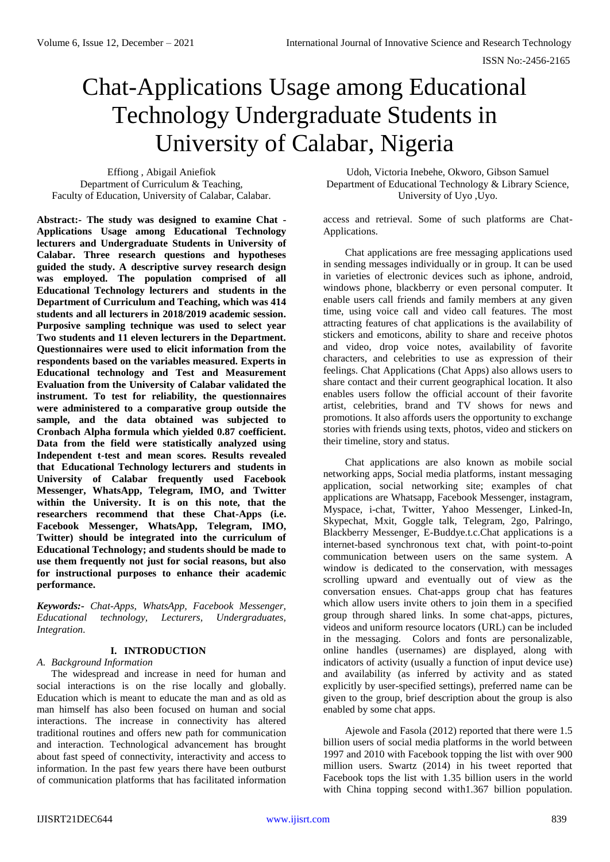# Chat-Applications Usage among Educational Technology Undergraduate Students in University of Calabar, Nigeria

Effiong , Abigail Aniefiok Department of Curriculum & Teaching, Faculty of Education, University of Calabar, Calabar.

**Abstract:- The study was designed to examine Chat - Applications Usage among Educational Technology lecturers and Undergraduate Students in University of Calabar. Three research questions and hypotheses guided the study. A descriptive survey research design was employed. The population comprised of all Educational Technology lecturers and students in the Department of Curriculum and Teaching, which was 414 students and all lecturers in 2018/2019 academic session. Purposive sampling technique was used to select year Two students and 11 eleven lecturers in the Department. Questionnaires were used to elicit information from the respondents based on the variables measured. Experts in Educational technology and Test and Measurement Evaluation from the University of Calabar validated the instrument. To test for reliability, the questionnaires were administered to a comparative group outside the sample, and the data obtained was subjected to Cronbach Alpha formula which yielded 0.87 coefficient. Data from the field were statistically analyzed using Independent t-test and mean scores. Results revealed that Educational Technology lecturers and students in University of Calabar frequently used Facebook Messenger, WhatsApp, Telegram, IMO, and Twitter within the University. It is on this note, that the researchers recommend that these Chat-Apps (i.e. Facebook Messenger, WhatsApp, Telegram, IMO, Twitter) should be integrated into the curriculum of Educational Technology; and students should be made to use them frequently not just for social reasons, but also for instructional purposes to enhance their academic performance.**

*Keywords:- Chat-Apps, WhatsApp, Facebook Messenger, Educational technology, Lecturers, Undergraduates, Integration.*

# **I. INTRODUCTION**

*A. Background Information*

The widespread and increase in need for human and social interactions is on the rise locally and globally. Education which is meant to educate the man and as old as man himself has also been focused on human and social interactions. The increase in connectivity has altered traditional routines and offers new path for communication and interaction. Technological advancement has brought about fast speed of connectivity, interactivity and access to information. In the past few years there have been outburst of communication platforms that has facilitated information

Udoh, Victoria Inebehe, Okworo, Gibson Samuel Department of Educational Technology & Library Science, University of Uyo ,Uyo.

access and retrieval. Some of such platforms are Chat-Applications.

Chat applications are free messaging applications used in sending messages individually or in group. It can be used in varieties of electronic devices such as iphone, android, windows phone, blackberry or even personal computer. It enable users call friends and family members at any given time, using voice call and video call features. The most attracting features of chat applications is the availability of stickers and emoticons, ability to share and receive photos and video, drop voice notes, availability of favorite characters, and celebrities to use as expression of their feelings. Chat Applications (Chat Apps) also allows users to share contact and their current geographical location. It also enables users follow the official account of their favorite artist, celebrities, brand and TV shows for news and promotions. It also affords users the opportunity to exchange stories with friends using texts, photos, video and stickers on their timeline, story and status.

Chat applications are also known as mobile social networking apps, Social media platforms, instant messaging application, social networking site; examples of chat applications are Whatsapp, Facebook Messenger, instagram, Myspace, i-chat, Twitter, Yahoo Messenger, Linked-In, Skypechat, Mxit, Goggle talk, Telegram, 2go, Palringo, Blackberry Messenger, E-Buddye.t.c.Chat applications is a internet-based synchronous text chat, with point-to-point communication between users on the same system. A window is dedicated to the conservation, with messages scrolling upward and eventually out of view as the conversation ensues. Chat-apps group chat has features which allow users invite others to join them in a specified group through shared links. In some chat-apps, pictures, videos and uniform resource locators (URL) can be included in the messaging. Colors and fonts are personalizable, online handles (usernames) are displayed, along with indicators of activity (usually a function of input device use) and availability (as inferred by activity and as stated explicitly by user-specified settings), preferred name can be given to the group, brief description about the group is also enabled by some chat apps.

Ajewole and Fasola (2012) reported that there were 1.5 billion users of social media platforms in the world between 1997 and 2010 with Facebook topping the list with over 900 million users. Swartz (2014) in his tweet reported that Facebook tops the list with 1.35 billion users in the world with China topping second with1.367 billion population.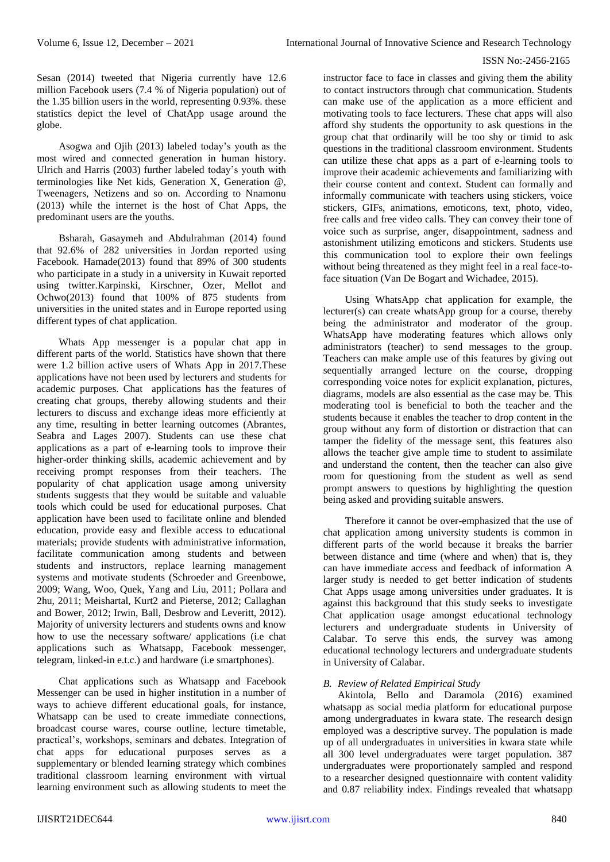Sesan (2014) tweeted that Nigeria currently have 12.6 million Facebook users (7.4 % of Nigeria population) out of the 1.35 billion users in the world, representing 0.93%. these statistics depict the level of ChatApp usage around the globe.

Asogwa and Ojih (2013) labeled today's youth as the most wired and connected generation in human history. Ulrich and Harris (2003) further labeled today's youth with terminologies like Net kids, Generation X, Generation @, Tweenagers, Netizens and so on. According to Nnamonu (2013) while the internet is the host of Chat Apps, the predominant users are the youths.

Bsharah, Gasaymeh and Abdulrahman (2014) found that 92.6% of 282 universities in Jordan reported using Facebook. Hamade(2013) found that 89% of 300 students who participate in a study in a university in Kuwait reported using twitter.Karpinski, Kirschner, Ozer, Mellot and Ochwo(2013) found that 100% of 875 students from universities in the united states and in Europe reported using different types of chat application.

Whats App messenger is a popular chat app in different parts of the world. Statistics have shown that there were 1.2 billion active users of Whats App in 2017.These applications have not been used by lecturers and students for academic purposes. Chat applications has the features of creating chat groups, thereby allowing students and their lecturers to discuss and exchange ideas more efficiently at any time, resulting in better learning outcomes (Abrantes, Seabra and Lages 2007). Students can use these chat applications as a part of e-learning tools to improve their higher-order thinking skills, academic achievement and by receiving prompt responses from their teachers. The popularity of chat application usage among university students suggests that they would be suitable and valuable tools which could be used for educational purposes. Chat application have been used to facilitate online and blended education, provide easy and flexible access to educational materials; provide students with administrative information, facilitate communication among students and between students and instructors, replace learning management systems and motivate students (Schroeder and Greenbowe, 2009; Wang, Woo, Quek, Yang and Liu, 2011; Pollara and 2hu, 2011; Meishartal, Kurt2 and Pieterse, 2012; Callaghan and Bower, 2012; Irwin, Ball, Desbrow and Leveritt, 2012). Majority of university lecturers and students owns and know how to use the necessary software/ applications (i.e chat applications such as Whatsapp, Facebook messenger, telegram, linked-in e.t.c.) and hardware (i.e smartphones).

Chat applications such as Whatsapp and Facebook Messenger can be used in higher institution in a number of ways to achieve different educational goals, for instance, Whatsapp can be used to create immediate connections, broadcast course wares, course outline, lecture timetable, practical's, workshops, seminars and debates. Integration of chat apps for educational purposes serves as a supplementary or blended learning strategy which combines traditional classroom learning environment with virtual learning environment such as allowing students to meet the

instructor face to face in classes and giving them the ability to contact instructors through chat communication. Students can make use of the application as a more efficient and motivating tools to face lecturers. These chat apps will also afford shy students the opportunity to ask questions in the group chat that ordinarily will be too shy or timid to ask questions in the traditional classroom environment. Students can utilize these chat apps as a part of e-learning tools to improve their academic achievements and familiarizing with their course content and context. Student can formally and informally communicate with teachers using stickers, voice stickers, GIFs, animations, emoticons, text, photo, video, free calls and free video calls. They can convey their tone of voice such as surprise, anger, disappointment, sadness and astonishment utilizing emoticons and stickers. Students use this communication tool to explore their own feelings without being threatened as they might feel in a real face-toface situation (Van De Bogart and Wichadee, 2015).

Using WhatsApp chat application for example, the lecturer(s) can create whatsApp group for a course, thereby being the administrator and moderator of the group. WhatsApp have moderating features which allows only administrators (teacher) to send messages to the group. Teachers can make ample use of this features by giving out sequentially arranged lecture on the course, dropping corresponding voice notes for explicit explanation, pictures, diagrams, models are also essential as the case may be. This moderating tool is beneficial to both the teacher and the students because it enables the teacher to drop content in the group without any form of distortion or distraction that can tamper the fidelity of the message sent, this features also allows the teacher give ample time to student to assimilate and understand the content, then the teacher can also give room for questioning from the student as well as send prompt answers to questions by highlighting the question being asked and providing suitable answers.

Therefore it cannot be over-emphasized that the use of chat application among university students is common in different parts of the world because it breaks the barrier between distance and time (where and when) that is, they can have immediate access and feedback of information A larger study is needed to get better indication of students Chat Apps usage among universities under graduates. It is against this background that this study seeks to investigate Chat application usage amongst educational technology lecturers and undergraduate students in University of Calabar. To serve this ends, the survey was among educational technology lecturers and undergraduate students in University of Calabar.

## *B. Review of Related Empirical Study*

Akintola, Bello and Daramola (2016) examined whatsapp as social media platform for educational purpose among undergraduates in kwara state. The research design employed was a descriptive survey. The population is made up of all undergraduates in universities in kwara state while all 300 level undergraduates were target population. 387 undergraduates were proportionately sampled and respond to a researcher designed questionnaire with content validity and 0.87 reliability index. Findings revealed that whatsapp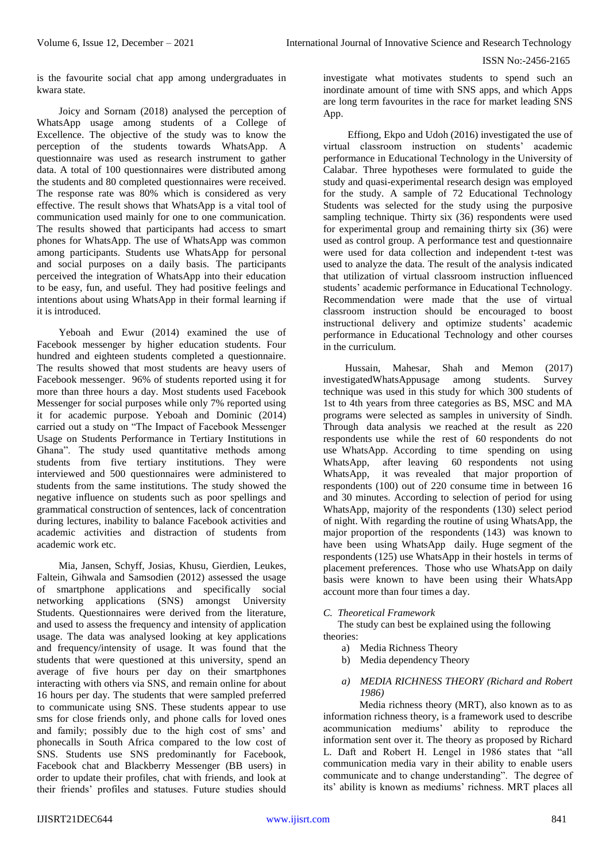is the favourite social chat app among undergraduates in kwara state.

Joicy and Sornam (2018) analysed the perception of WhatsApp usage among students of a College of Excellence. The objective of the study was to know the perception of the students towards WhatsApp. A questionnaire was used as research instrument to gather data. A total of 100 questionnaires were distributed among the students and 80 completed questionnaires were received. The response rate was 80% which is considered as very effective. The result shows that WhatsApp is a vital tool of communication used mainly for one to one communication. The results showed that participants had access to smart phones for WhatsApp. The use of WhatsApp was common among participants. Students use WhatsApp for personal and social purposes on a daily basis. The participants perceived the integration of WhatsApp into their education to be easy, fun, and useful. They had positive feelings and intentions about using WhatsApp in their formal learning if it is introduced.

Yeboah and Ewur (2014) examined the use of Facebook messenger by higher education students. Four hundred and eighteen students completed a questionnaire. The results showed that most students are heavy users of Facebook messenger. 96% of students reported using it for more than three hours a day. Most students used Facebook Messenger for social purposes while only 7% reported using it for academic purpose. Yeboah and Dominic (2014) carried out a study on "The Impact of Facebook Messenger Usage on Students Performance in Tertiary Institutions in Ghana". The study used quantitative methods among students from five tertiary institutions. They were interviewed and 500 questionnaires were administered to students from the same institutions. The study showed the negative influence on students such as poor spellings and grammatical construction of sentences, lack of concentration during lectures, inability to balance Facebook activities and academic activities and distraction of students from academic work etc.

Mia, Jansen, Schyff, Josias, Khusu, Gierdien, Leukes, Faltein, Gihwala and Samsodien (2012) assessed the usage of smartphone applications and specifically social networking applications (SNS) amongst University Students. Questionnaires were derived from the literature, and used to assess the frequency and intensity of application usage. The data was analysed looking at key applications and frequency/intensity of usage. It was found that the students that were questioned at this university, spend an average of five hours per day on their smartphones interacting with others via SNS, and remain online for about 16 hours per day. The students that were sampled preferred to communicate using SNS. These students appear to use sms for close friends only, and phone calls for loved ones and family; possibly due to the high cost of sms' and phonecalls in South Africa compared to the low cost of SNS. Students use SNS predominantly for Facebook, Facebook chat and Blackberry Messenger (BB users) in order to update their profiles, chat with friends, and look at their friends' profiles and statuses. Future studies should investigate what motivates students to spend such an inordinate amount of time with SNS apps, and which Apps are long term favourites in the race for market leading SNS App.

Effiong, Ekpo and Udoh (2016) investigated the use of virtual classroom instruction on students' academic performance in Educational Technology in the University of Calabar. Three hypotheses were formulated to guide the study and quasi-experimental research design was employed for the study. A sample of 72 Educational Technology Students was selected for the study using the purposive sampling technique. Thirty six (36) respondents were used for experimental group and remaining thirty six (36) were used as control group. A performance test and questionnaire were used for data collection and independent t-test was used to analyze the data. The result of the analysis indicated that utilization of virtual classroom instruction influenced students' academic performance in Educational Technology. Recommendation were made that the use of virtual classroom instruction should be encouraged to boost instructional delivery and optimize students' academic performance in Educational Technology and other courses in the curriculum.

Hussain, Mahesar, Shah and Memon (2017) investigatedWhatsAppusage among students. Survey technique was used in this study for which 300 students of 1st to 4th years from three categories as BS, MSC and MA programs were selected as samples in university of Sindh. Through data analysis we reached at the result as 220 respondents use while the rest of 60 respondents do not use WhatsApp. According to time spending on using WhatsApp, after leaving 60 respondents not using WhatsApp, it was revealed that major proportion of respondents (100) out of 220 consume time in between 16 and 30 minutes. According to selection of period for using WhatsApp, majority of the respondents (130) select period of night. With regarding the routine of using WhatsApp, the major proportion of the respondents  $(143)$  was known to have been using WhatsApp daily. Huge segment of the respondents (125) use WhatsApp in their hostels in terms of placement preferences. Those who use WhatsApp on daily basis were known to have been using their WhatsApp account more than four times a day.

## *C. Theoretical Framework*

The study can best be explained using the following theories:

- a) Media Richness Theory
- b) Media dependency Theory

## *a) MEDIA RICHNESS THEORY (Richard and Robert 1986)*

Media richness theory (MRT), also known as to as information richness theory, is a framework used to describe acommunication mediums' ability to reproduce the information sent over it. The theory as proposed by Richard L. Daft and Robert H. Lengel in 1986 states that "all communication media vary in their ability to enable users communicate and to change understanding". The degree of its' ability is known as mediums' richness. MRT places all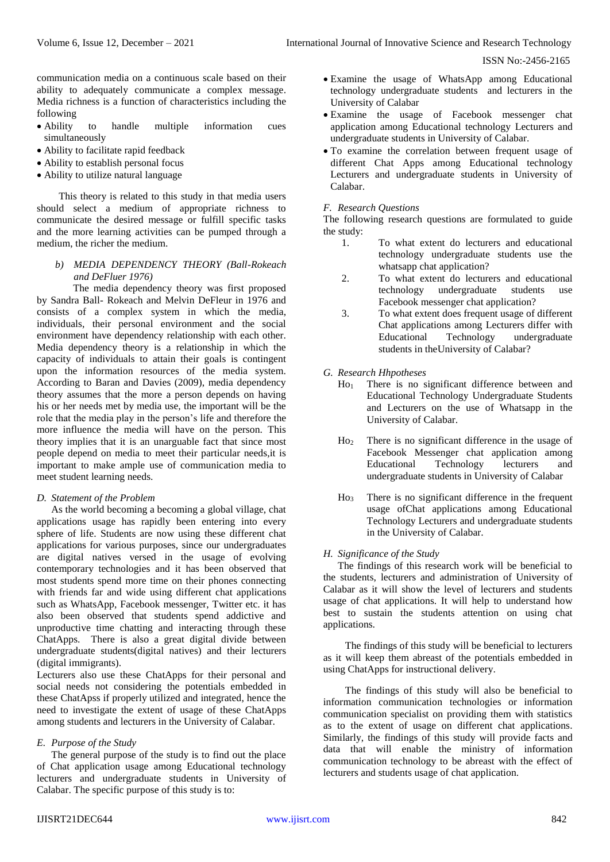communication media on a continuous scale based on their ability to adequately communicate a complex message. Media richness is a function of characteristics including the following

- Ability to handle multiple information cues simultaneously
- Ability to facilitate rapid feedback
- Ability to establish personal focus
- Ability to utilize natural language

This theory is related to this study in that media users should select a medium of appropriate richness to communicate the desired message or fulfill specific tasks and the more learning activities can be pumped through a medium, the richer the medium.

# *b) MEDIA DEPENDENCY THEORY (Ball-Rokeach and DeFluer 1976)*

The media dependency theory was first proposed by Sandra Ball- Rokeach and Melvin DeFleur in 1976 and consists of a complex system in which the media, individuals, their personal environment and the social environment have dependency relationship with each other. Media dependency theory is a relationship in which the capacity of individuals to attain their goals is contingent upon the information resources of the media system. According to Baran and Davies (2009), media dependency theory assumes that the more a person depends on having his or her needs met by media use, the important will be the role that the media play in the person's life and therefore the more influence the media will have on the person. This theory implies that it is an unarguable fact that since most people depend on media to meet their particular needs,it is important to make ample use of communication media to meet student learning needs.

## *D. Statement of the Problem*

As the world becoming a becoming a global village, chat applications usage has rapidly been entering into every sphere of life. Students are now using these different chat applications for various purposes, since our undergraduates are digital natives versed in the usage of evolving contemporary technologies and it has been observed that most students spend more time on their phones connecting with friends far and wide using different chat applications such as WhatsApp, Facebook messenger, Twitter etc. it has also been observed that students spend addictive and unproductive time chatting and interacting through these ChatApps. There is also a great digital divide between undergraduate students(digital natives) and their lecturers (digital immigrants).

Lecturers also use these ChatApps for their personal and social needs not considering the potentials embedded in these ChatApss if properly utilized and integrated, hence the need to investigate the extent of usage of these ChatApps among students and lecturers in the University of Calabar.

## *E. Purpose of the Study*

The general purpose of the study is to find out the place of Chat application usage among Educational technology lecturers and undergraduate students in University of Calabar. The specific purpose of this study is to:

- Examine the usage of WhatsApp among Educational technology undergraduate students and lecturers in the University of Calabar
- Examine the usage of Facebook messenger chat application among Educational technology Lecturers and undergraduate students in University of Calabar.
- To examine the correlation between frequent usage of different Chat Apps among Educational technology Lecturers and undergraduate students in University of Calabar.

# *F. Research Questions*

The following research questions are formulated to guide the study:

- 1. To what extent do lecturers and educational technology undergraduate students use the whatsapp chat application?
- 2. To what extent do lecturers and educational technology undergraduate students use Facebook messenger chat application?
- 3. To what extent does frequent usage of different Chat applications among Lecturers differ with Educational Technology undergraduate students in theUniversity of Calabar?

## *G. Research Hhpotheses*

- Ho<sup>1</sup> There is no significant difference between and Educational Technology Undergraduate Students and Lecturers on the use of Whatsapp in the University of Calabar.
- Ho<sup>2</sup> There is no significant difference in the usage of Facebook Messenger chat application among Educational Technology lecturers and undergraduate students in University of Calabar
- Ho<sup>3</sup> There is no significant difference in the frequent usage ofChat applications among Educational Technology Lecturers and undergraduate students in the University of Calabar.

## *H. Significance of the Study*

The findings of this research work will be beneficial to the students, lecturers and administration of University of Calabar as it will show the level of lecturers and students usage of chat applications. It will help to understand how best to sustain the students attention on using chat applications.

The findings of this study will be beneficial to lecturers as it will keep them abreast of the potentials embedded in using ChatApps for instructional delivery.

The findings of this study will also be beneficial to information communication technologies or information communication specialist on providing them with statistics as to the extent of usage on different chat applications. Similarly, the findings of this study will provide facts and data that will enable the ministry of information communication technology to be abreast with the effect of lecturers and students usage of chat application.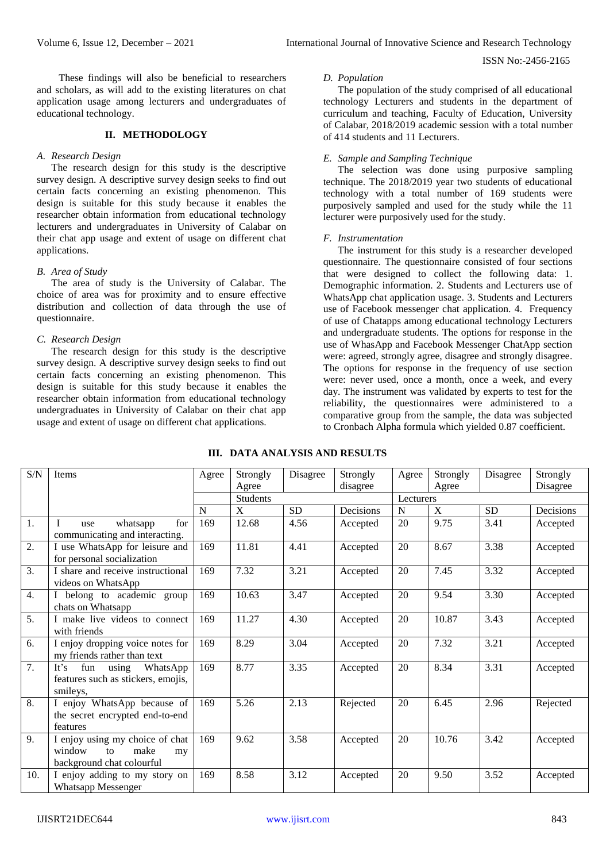These findings will also be beneficial to researchers and scholars, as will add to the existing literatures on chat application usage among lecturers and undergraduates of educational technology.

## **II. METHODOLOGY**

#### *A. Research Design*

The research design for this study is the descriptive survey design. A descriptive survey design seeks to find out certain facts concerning an existing phenomenon. This design is suitable for this study because it enables the researcher obtain information from educational technology lecturers and undergraduates in University of Calabar on their chat app usage and extent of usage on different chat applications.

#### *B. Area of Study*

The area of study is the University of Calabar. The choice of area was for proximity and to ensure effective distribution and collection of data through the use of questionnaire.

#### *C. Research Design*

The research design for this study is the descriptive survey design. A descriptive survey design seeks to find out certain facts concerning an existing phenomenon. This design is suitable for this study because it enables the researcher obtain information from educational technology undergraduates in University of Calabar on their chat app usage and extent of usage on different chat applications.

## *D. Population*

The population of the study comprised of all educational technology Lecturers and students in the department of curriculum and teaching, Faculty of Education, University of Calabar, 2018/2019 academic session with a total number of 414 students and 11 Lecturers.

#### *E. Sample and Sampling Technique*

The selection was done using purposive sampling technique. The 2018/2019 year two students of educational technology with a total number of 169 students were purposively sampled and used for the study while the 11 lecturer were purposively used for the study.

#### *F. Instrumentation*

The instrument for this study is a researcher developed questionnaire. The questionnaire consisted of four sections that were designed to collect the following data: 1. Demographic information. 2. Students and Lecturers use of WhatsApp chat application usage. 3. Students and Lecturers use of Facebook messenger chat application. 4. Frequency of use of Chatapps among educational technology Lecturers and undergraduate students. The options for response in the use of WhasApp and Facebook Messenger ChatApp section were: agreed, strongly agree, disagree and strongly disagree. The options for response in the frequency of use section were: never used, once a month, once a week, and every day. The instrument was validated by experts to test for the reliability, the questionnaires were administered to a comparative group from the sample, the data was subjected to Cronbach Alpha formula which yielded 0.87 coefficient.

|  |  | III. DATA ANALYSIS AND RESULTS |
|--|--|--------------------------------|
|  |  |                                |

| S/N              | Items                                                                                      | Agree | Strongly        | Disagree  | Strongly  | Agree     | Strongly | Disagree  | Strongly  |
|------------------|--------------------------------------------------------------------------------------------|-------|-----------------|-----------|-----------|-----------|----------|-----------|-----------|
|                  |                                                                                            |       | Agree           |           | disagree  |           | Agree    |           | Disagree  |
|                  |                                                                                            |       | <b>Students</b> |           |           | Lecturers |          |           |           |
|                  |                                                                                            | N     | X               | <b>SD</b> | Decisions | N         | X        | <b>SD</b> | Decisions |
| 1.               | for<br>whatsapp<br>use<br>communicating and interacting.                                   | 169   | 12.68           | 4.56      | Accepted  | 20        | 9.75     | 3.41      | Accepted  |
| $\overline{2}$ . | I use WhatsApp for leisure and<br>for personal socialization                               | 169   | 11.81           | 4.41      | Accepted  | 20        | 8.67     | 3.38      | Accepted  |
| 3.               | I share and receive instructional<br>videos on WhatsApp                                    | 169   | 7.32            | 3.21      | Accepted  | 20        | 7.45     | 3.32      | Accepted  |
| 4.               | I belong to academic group<br>chats on Whatsapp                                            | 169   | 10.63           | 3.47      | Accepted  | 20        | 9.54     | 3.30      | Accepted  |
| $\overline{5}$ . | I make live videos to connect<br>with friends                                              | 169   | 11.27           | 4.30      | Accepted  | 20        | 10.87    | 3.43      | Accepted  |
| 6.               | I enjoy dropping voice notes for<br>my friends rather than text                            | 169   | 8.29            | 3.04      | Accepted  | 20        | 7.32     | 3.21      | Accepted  |
| 7.               | It's<br>fun<br>using<br>WhatsApp<br>features such as stickers, emojis,<br>smileys.         | 169   | 8.77            | 3.35      | Accepted  | 20        | 8.34     | 3.31      | Accepted  |
| 8.               | I enjoy WhatsApp because of<br>the secret encrypted end-to-end<br>features                 | 169   | 5.26            | 2.13      | Rejected  | 20        | 6.45     | 2.96      | Rejected  |
| 9.               | I enjoy using my choice of chat<br>window<br>make<br>to<br>my<br>background chat colourful | 169   | 9.62            | 3.58      | Accepted  | 20        | 10.76    | 3.42      | Accepted  |
| 10.              | I enjoy adding to my story on<br><b>Whatsapp Messenger</b>                                 | 169   | 8.58            | 3.12      | Accepted  | 20        | 9.50     | 3.52      | Accepted  |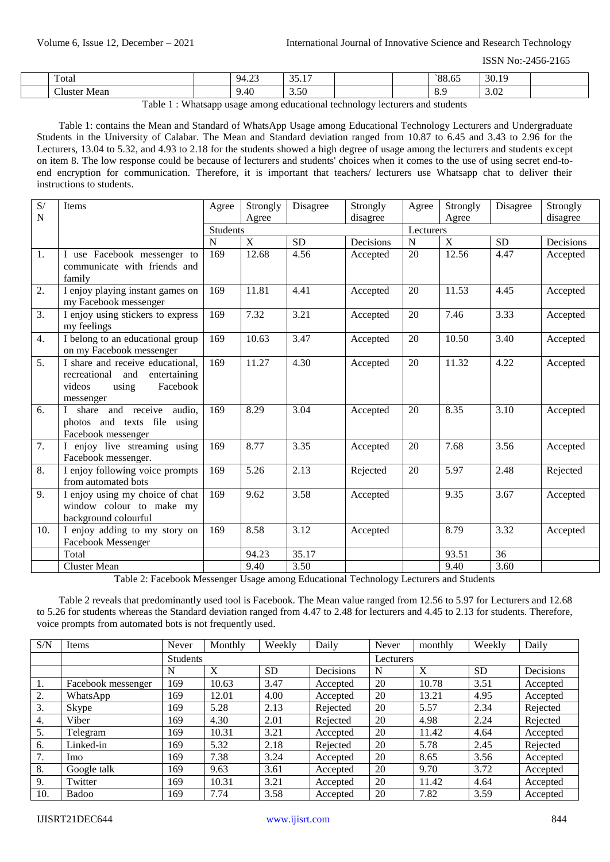| $\mathbf{r}$<br>Total<br>. | $\sim$<br>$\Omega$<br>.<br>$\sim$ $\sim$ | $\sim$<br>$\sim$ $\sim$<br>.<br>___ |  | - -<br>0٥٠<br>00.0. | 30.1<br>10<br>.  |  |
|----------------------------|------------------------------------------|-------------------------------------|--|---------------------|------------------|--|
| $\sim$<br>luster<br>Mean   | ).40                                     | 3.50                                |  | ◡•                  | $\Omega$<br>3.04 |  |

Table 1 : Whatsapp usage among educational technology lecturers and students

Table 1: contains the Mean and Standard of WhatsApp Usage among Educational Technology Lecturers and Undergraduate Students in the University of Calabar. The Mean and Standard deviation ranged from 10.87 to 6.45 and 3.43 to 2.96 for the Lecturers, 13.04 to 5.32, and 4.93 to 2.18 for the students showed a high degree of usage among the lecturers and students except on item 8. The low response could be because of lecturers and students' choices when it comes to the use of using secret end-toend encryption for communication. Therefore, it is important that teachers/ lecturers use Whatsapp chat to deliver their instructions to students.

| S/          | Items                                                                                                            | Agree       | Strongly | Disagree             | Strongly                                                        | Agree     | Strongly     | Disagree  | Strongly  |
|-------------|------------------------------------------------------------------------------------------------------------------|-------------|----------|----------------------|-----------------------------------------------------------------|-----------|--------------|-----------|-----------|
| $\mathbf N$ |                                                                                                                  |             | Agree    |                      | disagree                                                        |           | Agree        |           | disagree  |
|             |                                                                                                                  | Students    |          |                      |                                                                 | Lecturers |              |           |           |
|             |                                                                                                                  | $\mathbf N$ | X        | <b>SD</b>            | Decisions                                                       | ${\bf N}$ | X            | <b>SD</b> | Decisions |
| 1.          | I use Facebook messenger to<br>communicate with friends and<br>family                                            | 169         | 12.68    | 4.56                 | Accepted                                                        | 20        | 12.56        | 4.47      | Accepted  |
| 2.          | I enjoy playing instant games on<br>my Facebook messenger                                                        | 169         | 11.81    | 4.41                 | Accepted                                                        | 20        | 11.53        | 4.45      | Accepted  |
| 3.          | I enjoy using stickers to express<br>my feelings                                                                 | 169         | 7.32     | 3.21                 | Accepted                                                        | 20        | 7.46         | 3.33      | Accepted  |
| 4.          | I belong to an educational group<br>on my Facebook messenger                                                     | 169         | 10.63    | 3.47                 | Accepted                                                        | 20        | 10.50        | 3.40      | Accepted  |
| 5.          | I share and receive educational,<br>recreational and<br>entertaining<br>videos<br>Facebook<br>using<br>messenger | 169         | 11.27    | 4.30                 | Accepted                                                        | 20        | 11.32        | 4.22      | Accepted  |
| 6.          | share and receive<br>audio.<br>photos and texts file<br>using<br>Facebook messenger                              | 169         | 8.29     | 3.04                 | Accepted                                                        | 20        | 8.35         | 3.10      | Accepted  |
| 7.          | I enjoy live streaming using<br>Facebook messenger.                                                              | 169         | 8.77     | 3.35                 | Accepted                                                        | 20        | 7.68         | 3.56      | Accepted  |
| 8.          | I enjoy following voice prompts<br>from automated bots                                                           | 169         | 5.26     | 2.13                 | Rejected                                                        | 20        | 5.97         | 2.48      | Rejected  |
| 9.          | I enjoy using my choice of chat<br>window colour to make my<br>background colourful                              | 169         | 9.62     | 3.58                 | Accepted                                                        |           | 9.35         | 3.67      | Accepted  |
| 10.         | I enjoy adding to my story on<br>Facebook Messenger                                                              | 169         | 8.58     | 3.12                 | Accepted                                                        |           | 8.79         | 3.32      | Accepted  |
|             | Total                                                                                                            |             | 94.23    | 35.17                |                                                                 |           | 93.51        | 36        |           |
|             | Cluster Mean<br>$m+1$ $\alpha$ $m+1$<br>1.3.5                                                                    |             | 9.40     | 3.50<br>$\mathbf{r}$ | $\mathbf{r}$ and $\mathbf{r}$ and $\mathbf{r}$ and $\mathbf{r}$ |           | 9.40<br>1.01 | 3.60      |           |

Table 2: Facebook Messenger Usage among Educational Technology Lecturers and Students

Table 2 reveals that predominantly used tool is Facebook. The Mean value ranged from 12.56 to 5.97 for Lecturers and 12.68 to 5.26 for students whereas the Standard deviation ranged from 4.47 to 2.48 for lecturers and 4.45 to 2.13 for students. Therefore, voice prompts from automated bots is not frequently used.

| S/N | Items              | Never    | Monthly | Weekly    | Daily     | Never     | monthly | Weekly    | Daily     |  |
|-----|--------------------|----------|---------|-----------|-----------|-----------|---------|-----------|-----------|--|
|     |                    | Students |         |           |           | Lecturers |         |           |           |  |
|     |                    | N        | X       | <b>SD</b> | Decisions | N         | X       | <b>SD</b> | Decisions |  |
| 1.  | Facebook messenger | 169      | 10.63   | 3.47      | Accepted  | 20        | 10.78   | 3.51      | Accepted  |  |
| 2.  | WhatsApp           | 169      | 12.01   | 4.00      | Accepted  | 20        | 13.21   | 4.95      | Accepted  |  |
| 3.  | Skype              | 169      | 5.28    | 2.13      | Rejected  | 20        | 5.57    | 2.34      | Rejected  |  |
| 4.  | Viber              | 169      | 4.30    | 2.01      | Rejected  | 20        | 4.98    | 2.24      | Rejected  |  |
| 5.  | Telegram           | 169      | 10.31   | 3.21      | Accepted  | 20        | 11.42   | 4.64      | Accepted  |  |
| 6.  | Linked-in          | 169      | 5.32    | 2.18      | Rejected  | 20        | 5.78    | 2.45      | Rejected  |  |
| 7.  | <b>Imo</b>         | 169      | 7.38    | 3.24      | Accepted  | 20        | 8.65    | 3.56      | Accepted  |  |
| 8.  | Google talk        | 169      | 9.63    | 3.61      | Accepted  | 20        | 9.70    | 3.72      | Accepted  |  |
| 9.  | Twitter            | 169      | 10.31   | 3.21      | Accepted  | 20        | 11.42   | 4.64      | Accepted  |  |
| 10. | Badoo              | 169      | 7.74    | 3.58      | Accepted  | 20        | 7.82    | 3.59      | Accepted  |  |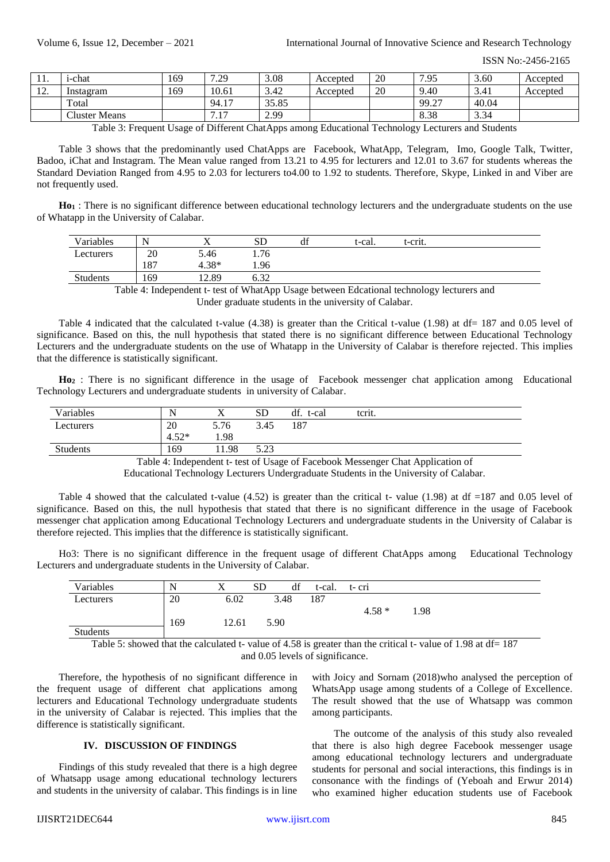| .                               | 1-chat               | 169 | .29<br>–                       | 3.08  | Accepted | 20 | 7.95  | 3.60  | Accepted |
|---------------------------------|----------------------|-----|--------------------------------|-------|----------|----|-------|-------|----------|
| 1 <sub>0</sub><br>$\frac{1}{2}$ | Instagram            | 169 | 10.61                          | 3.42  | Accepted | 20 | 9.40  | 3.41  | Accepted |
|                                 | Total                |     | 94.17                          | 35.85 |          |    | 99.27 | 40.04 |          |
|                                 | <b>Cluster Means</b> |     | 17<br>$\overline{\phantom{a}}$ | 2.99  |          |    | 8.38  | 3.34  |          |

Table 3: Frequent Usage of Different ChatApps among Educational Technology Lecturers and Students

Table 3 shows that the predominantly used ChatApps are Facebook, WhatApp, Telegram, Imo, Google Talk, Twitter, Badoo, iChat and Instagram. The Mean value ranged from 13.21 to 4.95 for lecturers and 12.01 to 3.67 for students whereas the Standard Deviation Ranged from 4.95 to 2.03 for lecturers to4.00 to 1.92 to students. Therefore, Skype, Linked in and Viber are not frequently used.

**Ho<sup>1</sup>** : There is no significant difference between educational technology lecturers and the undergraduate students on the use of Whatapp in the University of Calabar.

| Variables | N               |         | SD                | di | t-cal.      | t-crit.                  |  |  |
|-----------|-----------------|---------|-------------------|----|-------------|--------------------------|--|--|
| Lecturers | 20              | 5.46    | 1.76              |    |             |                          |  |  |
|           | 187             | $4.38*$ | 1.96              |    |             |                          |  |  |
| Students  | 169             | 12.89   | $\sim$ 00<br>0.32 |    |             |                          |  |  |
|           | <b>PERIMENT</b> |         |                   |    | .<br>$\sim$ | $\overline{\phantom{a}}$ |  |  |

Table 4: Independent t- test of WhatApp Usage between Edcational technology lecturers and Under graduate students in the university of Calabar.

Table 4 indicated that the calculated t-value (4.38) is greater than the Critical t-value (1.98) at df= 187 and 0.05 level of significance. Based on this, the null hypothesis that stated there is no significant difference between Educational Technology Lecturers and the undergraduate students on the use of Whatapp in the University of Calabar is therefore rejected. This implies that the difference is statistically significant.

**Ho<sup>2</sup>** : There is no significant difference in the usage of Facebook messenger chat application among Educational Technology Lecturers and undergraduate students in university of Calabar.

| Variables | N       |      | SD   | df.<br>t-cal | terit. |
|-----------|---------|------|------|--------------|--------|
| Lecturers | 20      | 5.76 | 3.45 | 187          |        |
|           | $4.52*$ | 1.98 |      |              |        |
| Students  | 169     | 1.98 | 5.23 |              |        |

Table 4: Independent t- test of Usage of Facebook Messenger Chat Application of

Educational Technology Lecturers Undergraduate Students in the University of Calabar.

Table 4 showed that the calculated t-value (4.52) is greater than the critical t- value (1.98) at df =187 and 0.05 level of significance. Based on this, the null hypothesis that stated that there is no significant difference in the usage of Facebook messenger chat application among Educational Technology Lecturers and undergraduate students in the University of Calabar is therefore rejected. This implies that the difference is statistically significant.

Ho3: There is no significant difference in the frequent usage of different ChatApps among Educational Technology Lecturers and undergraduate students in the University of Calabar.

| Variables       |     |       | <b>SD</b> | df | t-cal. | t-cri                                                                                                                                                                                                                                                                                                       |      |                          |  |
|-----------------|-----|-------|-----------|----|--------|-------------------------------------------------------------------------------------------------------------------------------------------------------------------------------------------------------------------------------------------------------------------------------------------------------------|------|--------------------------|--|
| Lecturers       | 20  | 6.02  | 3.48      |    | 187    |                                                                                                                                                                                                                                                                                                             |      |                          |  |
|                 |     |       |           |    |        | $4.58*$                                                                                                                                                                                                                                                                                                     | 1.98 |                          |  |
|                 | 169 | 12.61 | 5.90      |    |        |                                                                                                                                                                                                                                                                                                             |      |                          |  |
| <b>Students</b> |     |       |           |    |        |                                                                                                                                                                                                                                                                                                             |      |                          |  |
| $-11 - 11$      |     |       |           |    |        | $\alpha$ , and $\alpha$ , and $\alpha$ , and $\alpha$ , and $\alpha$ , and $\alpha$ , and $\alpha$ , and $\alpha$ , and $\alpha$ , and $\alpha$ , and $\alpha$ , and $\alpha$ , and $\alpha$ , and $\alpha$ , and $\alpha$ , and $\alpha$ , and $\alpha$ , and $\alpha$ , and $\alpha$ , and $\alpha$ , and |      | $0.4000 \times 10^{-10}$ |  |

Table 5: showed that the calculated t- value of 4.58 is greater than the critical t- value of 1.98 at df= 187 and 0.05 levels of significance.

Therefore, the hypothesis of no significant difference in the frequent usage of different chat applications among lecturers and Educational Technology undergraduate students in the university of Calabar is rejected. This implies that the difference is statistically significant.

# **IV. DISCUSSION OF FINDINGS**

Findings of this study revealed that there is a high degree of Whatsapp usage among educational technology lecturers and students in the university of calabar. This findings is in line

with Joicy and Sornam (2018)who analysed the perception of WhatsApp usage among students of a College of Excellence. The result showed that the use of Whatsapp was common among participants.

The outcome of the analysis of this study also revealed that there is also high degree Facebook messenger usage among educational technology lecturers and undergraduate students for personal and social interactions, this findings is in consonance with the findings of (Yeboah and Erwur 2014) who examined higher education students use of Facebook